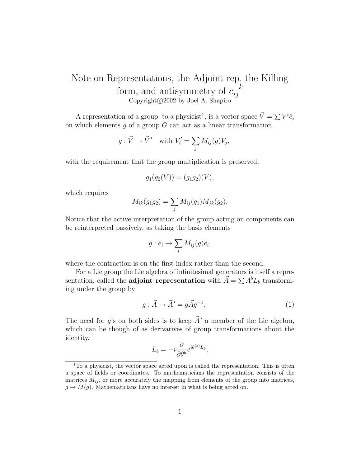## Note on Representations, the Adjoint rep, the Killing form, and antisymmetry of  $c_{ij}^{\kappa}$ <br>Copyright©2002 by Joel A. Shapiro Copyright  $\odot$  2002 by Joel A. Shapiro

A representation of a group, to a physicist<sup>1</sup>, is a vector space  $\vec{V} = \sum V^i \hat{e}_i$ <br>which elements a of a group G can act as a linear transformation on which elements  $q$  of a group  $G$  can act as a linear transformation

$$
g: \vec{V} \to \vec{V}'
$$
 with  $V'_i = \sum_j M_{ij}(g)V_j$ ,

with the requirement that the group multiplication is preserved,

$$
g_1(g_2(V)) = (g_1g_2)(V),
$$

which requires

$$
M_{ik}(g_1g_2) = \sum_j M_{ij}(g_1)M_{jk}(g_2).
$$

Notice that the active interpretation of the group acting on components can be reinterpreted passively, as taking the basis elements

$$
g: \hat{e}_i \to \sum_i M_{ij}(g)\hat{e}_i,
$$

where the contraction is on the first index rather than the second.

For a Lie group the Lie algebra of infinitesimal generators is itself a representation, called the **adjoint representation** with  $\vec{A} = \sum A^b L_b$  transforming under the group by

$$
g: \vec{A} \to \vec{A}' = g\vec{A}g^{-1}.
$$
 (1)

The need for g's on both sides is to keep  $\vec{A}^{\prime}$  a member of the Lie algebra, which can be though of as derivatives of group transformations about the identity,

$$
L_b = -i \frac{\partial}{\partial \theta^b} e^{i \theta^{(b)} L_b},
$$

<sup>&</sup>lt;sup>1</sup>To a physicist, the vector space acted upon is called the representation. This is often a space of fields or coordinates. To mathematicians the representation consists of the matrices  $M_{ij}$ , or more accurately the mapping from elements of the group into matrices,  $g \to M(g)$ . Mathematicians have no interest in what is being acted on.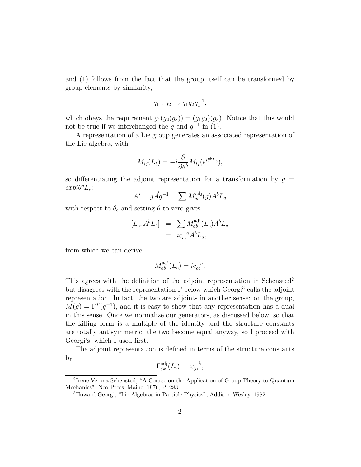and (1) follows from the fact that the group itself can be transformed by group elements by similarity,

$$
g_1: g_2 \to g_1 g_2 g_1^{-1},
$$

which obeys the requirement  $g_1(g_2(g_3)) = (g_1g_2)(g_3)$ . Notice that this would not be true if we interchanged the q and  $q^{-1}$  in (1).

A representation of a Lie group generates an associated representation of the Lie algebra, with

$$
M_{ij}(L_b) = -i \frac{\partial}{\partial \theta^b} M_{ij} (e^{i\theta^b L_b}),
$$

so differentiating the adjoint representation for a transformation by  $g =$  $expi\theta^c L_c$ :

$$
\vec{A}' = g\vec{A}g^{-1} = \sum M_{ab}^{\text{adj}}(g)A^b L_a
$$

with respect to  $\theta_c$  and setting  $\theta$  to zero gives

$$
[L_c, A^b L_b] = \sum_{i c_{cb}} M_{ab}^{adj} (L_c) A^b L_a
$$
  
=  $ic_{cb}{}^a A^b L_a$ ,

from which we can derive

$$
M_{ab}^{\text{adj}}(L_c) = i c_{cb}^{\ \ a}.
$$

This agrees with the definition of the adjoint representation in Schensted<sup>2</sup> but disagrees with the representation  $\Gamma$  below which Georgi<sup>3</sup> calls the adjoint representation. In fact, the two are adjoints in another sense: on the group,  $M(q)=\Gamma^{T}(q^{-1})$ , and it is easy to show that any representation has a dual in this sense. Once we normalize our generators, as discussed below, so that the killing form is a multiple of the identity and the structure constants are totally antisymmetric, the two become equal anyway, so I proceed with Georgi's, which I used first.

The adjoint representation is defined in terms of the structure constants by

$$
\Gamma_{jk}^{\text{adj}}(L_i) = i c_{ji}^{\ \ k},
$$

<sup>2</sup>Irene Verona Schensted, "A Course on the Application of Group Theory to Quantum Mechanics", Neo Press, Maine, 1976, P. 283.

<sup>3</sup>Howard Georgi, "Lie Algebras in Particle Physics", Addison-Wesley, 1982.